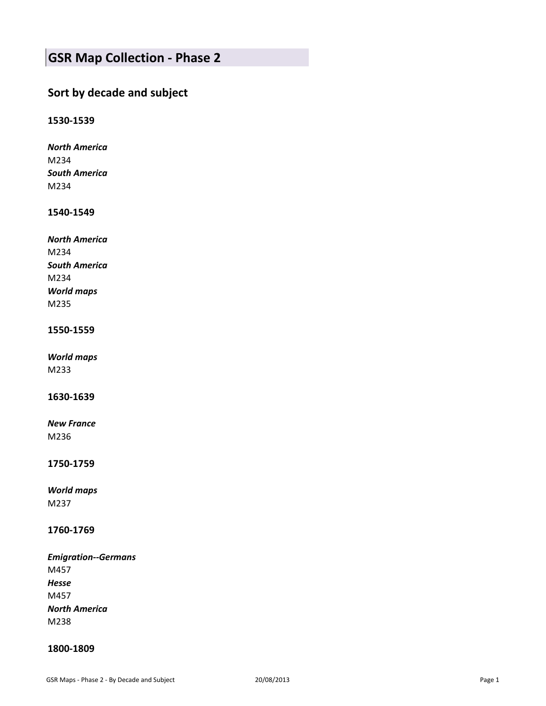# **GSR Map Collection - Phase 2**

# **Sort by decade and subject**

# **1530-1539**

*North America* M234 *South America* M234

# **1540-1549**

| <b>North America</b> |
|----------------------|
| M234                 |
| <b>South America</b> |
| M234                 |
| <b>World maps</b>    |
| M235                 |

# **1550-1559**

*World maps* M233

# **1630-1639**

*New France* M236

# **1750-1759**

*World maps* M237

# **1760-1769**

*Emigration--Germans* M457 *Hesse* M457 *North America* M238

# **1800-1809**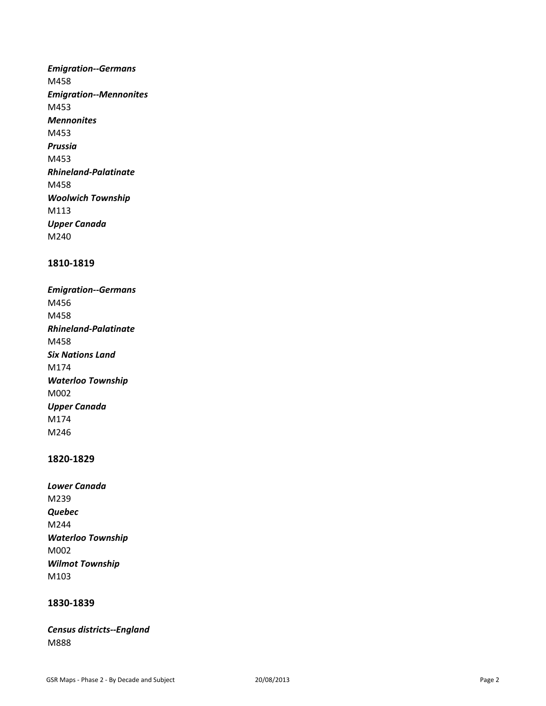*Emigration--Germans* M458 *Emigration--Mennonites* M453 *Mennonites* M453 *Prussia* M453 *Rhineland-Palatinate* M458 *Woolwich Township* M113 *Upper Canada* M240

# **1810-1819**

*Emigration--Germans* M456 M458 *Rhineland-Palatinate* M458 *Six Nations Land* M174 *Waterloo Township* M002 *Upper Canada* M174 M246

#### **1820-1829**

| Lower Canada             |
|--------------------------|
| M <sub>239</sub>         |
| Quebec                   |
| M244                     |
| <b>Waterloo Township</b> |
| M002                     |
| <b>Wilmot Township</b>   |
| M <sub>103</sub>         |

# **1830-1839**

*Census districts--England* M888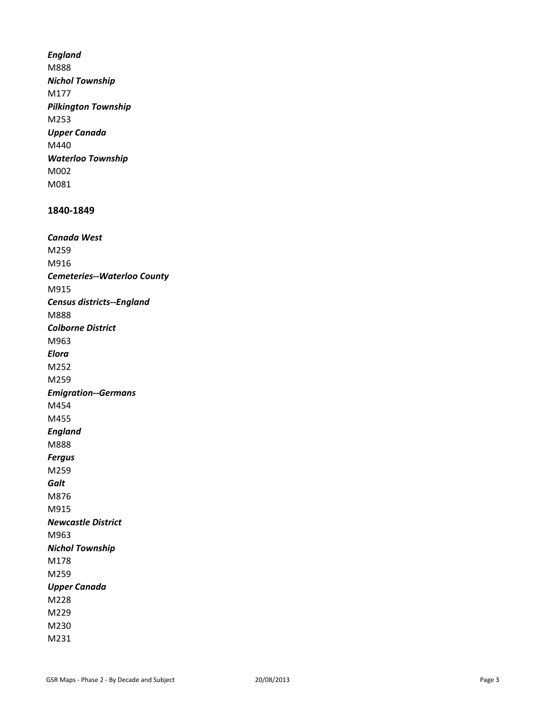*England* M888 *Nichol Township* M177 *Pilkington Township* M253 *Upper Canada* M440 *Waterloo Township* M002 M081

#### **1840-1849**

*Canada West* M259 M916 *Cemeteries--Waterloo County* M915 *Census districts--England* M888 *Colborne District* M963 *Elora*  M252 M259 *Emigration--Germans* M454 M455 *England* M888 *Fergus* M259 *Galt* M876 M915 *Newcastle District* M963 *Nichol Township* M178 M259 *Upper Canada* M228 M229 M230 M231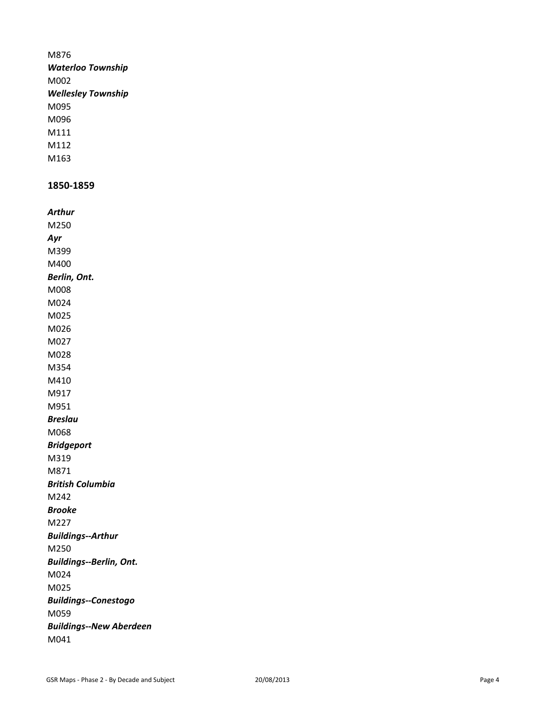# M876 *Waterloo Township* M002 *Wellesley Township* M095 M096 M111 M112 M163

# **1850-1859**

| Arthur                         |
|--------------------------------|
| M250                           |
| Ayr                            |
| M399                           |
| M400                           |
| Berlin, Ont.                   |
| M008                           |
| M024                           |
| M025                           |
| M026                           |
| M027                           |
| M028                           |
| M354                           |
| M410                           |
| M917                           |
| M951                           |
| <b>Breslau</b>                 |
| M068                           |
| <b>Bridgeport</b>              |
| M319                           |
| M871                           |
| <b>British Columbia</b>        |
| M242                           |
| <b>Brooke</b>                  |
| M227                           |
| <b>Buildings--Arthur</b>       |
| M250                           |
| <b>Buildings--Berlin, Ont.</b> |
| M024                           |
| M025                           |
| <b>Buildings--Conestogo</b>    |
| M059                           |
| <b>Buildings--New Aberdeen</b> |
| M041                           |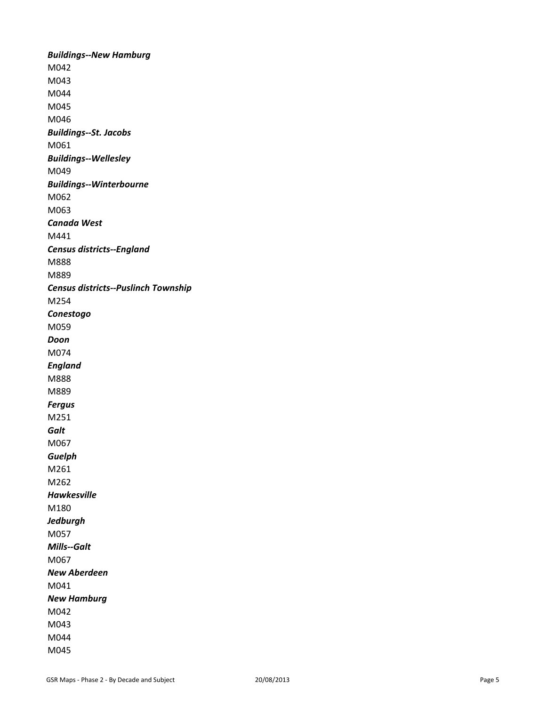*Buildings--New Hamburg* M042 M043 M044 M045 M046 *Buildings--St. Jacobs* M061 *Buildings--Wellesley* M049 *Buildings--Winterbourne* M062 M063 *Canada West* M441 *Census districts--England* M888 M889 *Census districts--Puslinch Township* M254 *Conestogo* M059 *Doon* M074 *England* M888 M889 *Fergus* M251 *Galt* M067 *Guelph* M261 M262 *Hawkesville* M180 *Jedburgh* M057 *Mills--Galt* M067 *New Aberdeen* M041 *New Hamburg* M042 M043 M044 M045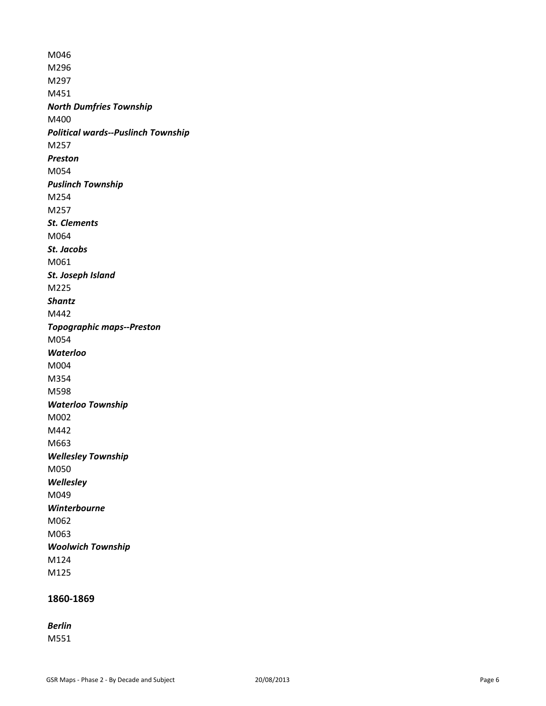M046 M296 M297 M451 *North Dumfries Township* M400 *Political wards--Puslinch Township* M257 *Preston* M054 *Puslinch Township* M254 M257 *St. Clements* M064 *St. Jacobs* M061 *St. Joseph Island* M225 *Shantz* M442 *Topographic maps--Preston* M054 *Waterloo* M004 M354 M598 *Waterloo Township* M002 M442 M663 *Wellesley Township* M050 *Wellesley* M049 *Winterbourne* M062 M063 *Woolwich Township* M124 M125

# **1860-1869**

*Berlin*

M551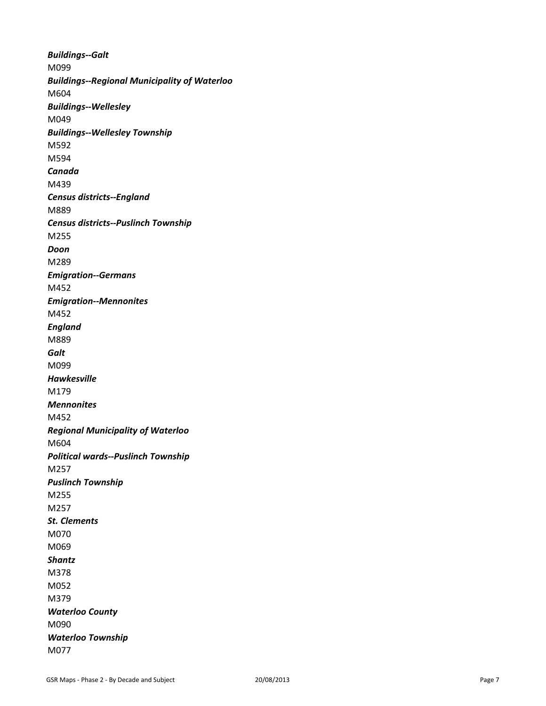*Buildings--Galt* M099 *Buildings--Regional Municipality of Waterloo* M604 *Buildings--Wellesley* M049 *Buildings--Wellesley Township* M592 M594 *Canada* M439 *Census districts--England* M889 *Census districts--Puslinch Township* M255 *Doon* M289 *Emigration--Germans* M452 *Emigration--Mennonites* M452 *England* M889 *Galt* M099 *Hawkesville* M179 *Mennonites* M452 *Regional Municipality of Waterloo* M604 *Political wards--Puslinch Township* M257 *Puslinch Township* M255 M257 *St. Clements* M070 M069 *Shantz* M378 M052 M379 *Waterloo County* M090 *Waterloo Township* M077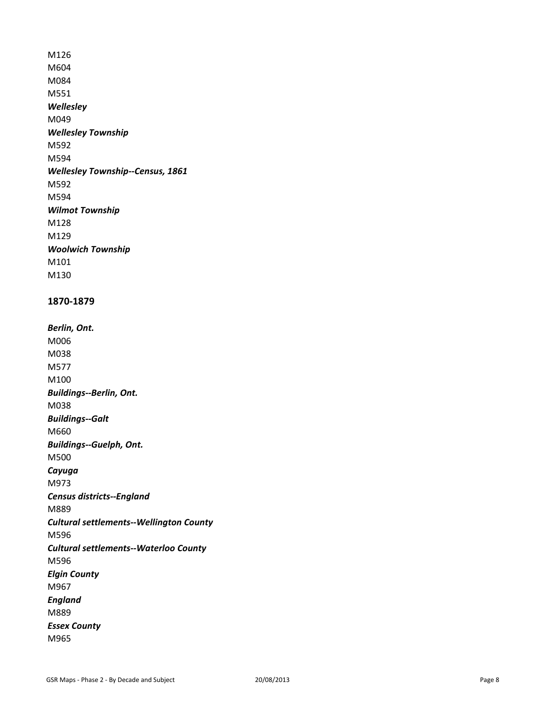M126 M604 M084 M551 *Wellesley* M049 *Wellesley Township* M592 M594 *Wellesley Township--Census, 1861* M592 M594 *Wilmot Township* M128 M129 *Woolwich Township* M101 M130

## **1870-1879**

*Berlin, Ont.*  M006 M038 M577 M100 *Buildings--Berlin, Ont.*  M038 *Buildings--Galt* M660 *Buildings--Guelph, Ont.*  M500 *Cayuga*  M973 *Census districts--England* M889 *Cultural settlements--Wellington County* M596 *Cultural settlements--Waterloo County* M596 *Elgin County* M967 *England* M889 *Essex County* M965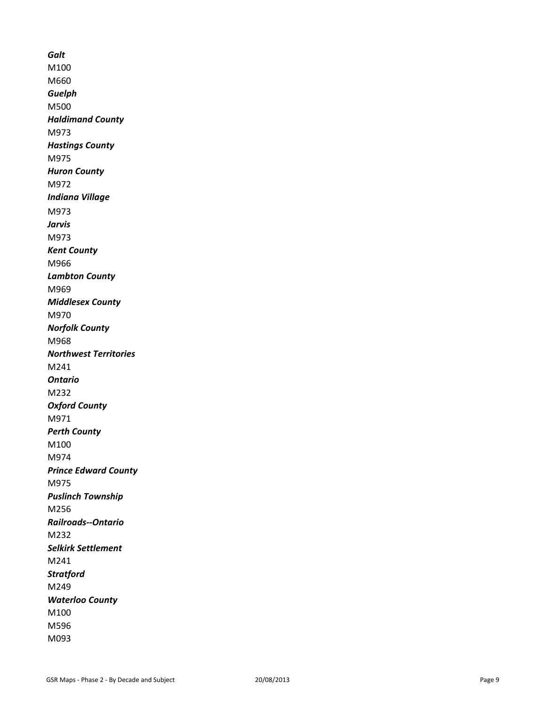*Galt* M100 M660 *Guelph* M500 *Haldimand County* M973 *Hastings County* M975 *Huron County* M972 *Indiana Village* M973 *Jarvis*  M973 *Kent County* M966 *Lambton County* M969 *Middlesex County* M970 *Norfolk County* M968 *Northwest Territories* M241 *Ontario* M232 *Oxford County* M971 *Perth County* M100 M974 *Prince Edward County* M975 *Puslinch Township* M256 *Railroads--Ontario* M232 *Selkirk Settlement* M241 *Stratford* M249 *Waterloo County* M100 M596 M093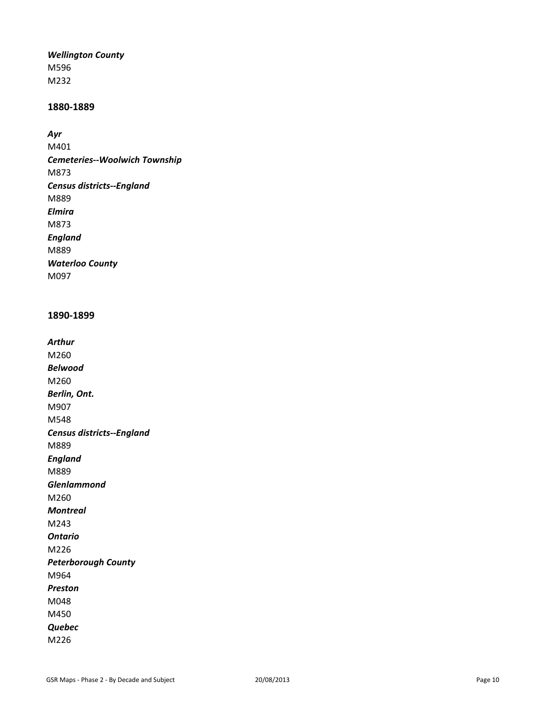#### *Wellington County*

M596 M232

# **1880-1889**

*Ayr*

M401 *Cemeteries--Woolwich Township* M873 *Census districts--England* M889 *Elmira* M873 *England* M889 *Waterloo County* M097

# **1890-1899**

*Arthur* M260 *Belwood* M260 *Berlin, Ont.* M907 M548 *Census districts--England* M889 *England* M889 *Glenlammond* M260 *Montreal* M243 *Ontario* M226 *Peterborough County* M964 *Preston* M048 M450 *Quebec* M226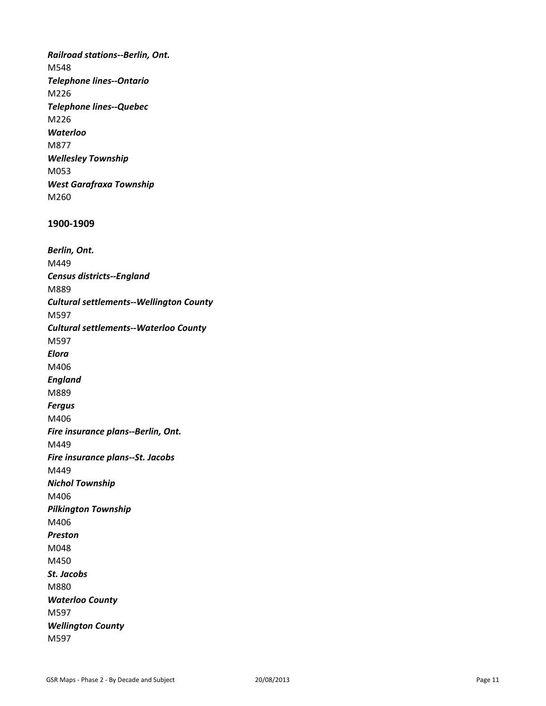*Railroad stations--Berlin, Ont.* M548 *Telephone lines--Ontario* M226 *Telephone lines--Quebec* M226 *Waterloo* M877 *Wellesley Township* M053 *West Garafraxa Township* M260

#### **1900-1909**

*Berlin, Ont.* M449 *Census districts--England* M889 *Cultural settlements--Wellington County* M597 *Cultural settlements--Waterloo County* M597 *Elora* M406 *England* M889 *Fergus* M406 *Fire insurance plans--Berlin, Ont.*  M449 *Fire insurance plans--St. Jacobs* M449 *Nichol Township* M406 *Pilkington Township* M406 *Preston* M048 M450 *St. Jacobs* M880 *Waterloo County* M597 *Wellington County* M597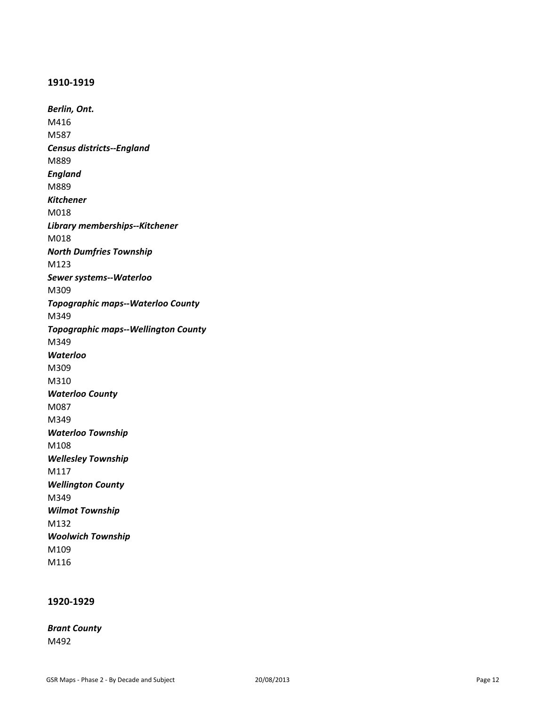#### **1910-1919**

*Berlin, Ont.* M416 M587 *Census districts--England* M889 *England* M889 *Kitchener* M018 *Library memberships--Kitchener* M018 *North Dumfries Township* M123 *Sewer systems--Waterloo* M309 *Topographic maps--Waterloo County* M349 *Topographic maps--Wellington County* M349 *Waterloo* M309 M310 *Waterloo County* M087 M349 *Waterloo Township* M108 *Wellesley Township* M117 *Wellington County* M349 *Wilmot Township* M132 *Woolwich Township* M109 M116

# **1920-1929**

*Brant County* M492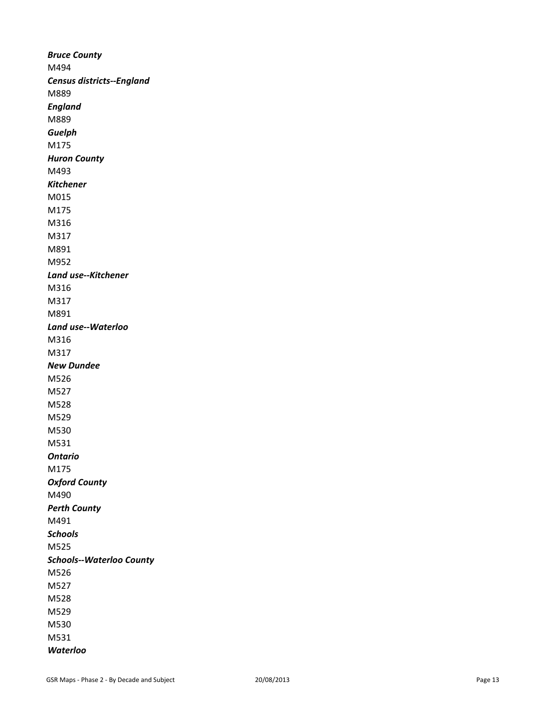*Bruce County* M494 *Census districts--England* M889 *England* M889 *Guelph* M175 *Huron County* M493 *Kitchener* M015 M175 M316 M317 M891 M952 *Land use--Kitchener* M316 M317 M891 *Land use--Waterloo* M316 M317 *New Dundee* M526 M527 M528 M529 M530 M531 *Ontario* M175 *Oxford County* M490 *Perth County* M491 *Schools* M525 *Schools--Waterloo County* M526 M527 M528 M529 M530 M531 *Waterloo*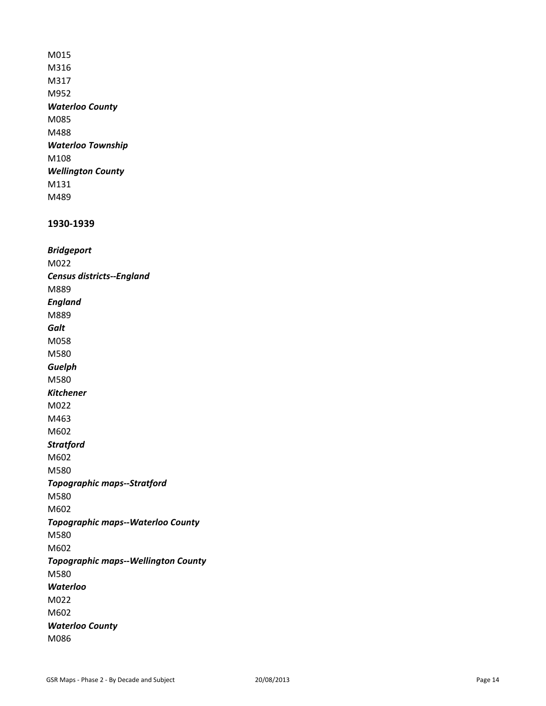M015 M316 M317 M952 *Waterloo County* M085 M488 *Waterloo Township* M108 *Wellington County* M131 M489

#### **1930-1939**

*Bridgeport* M022 *Census districts--England* M889 *England* M889 *Galt* M058 M580 *Guelph* M580 *Kitchener* M022 M463 M602 *Stratford* M602 M580 *Topographic maps--Stratford* M580 M602 *Topographic maps--Waterloo County* M580 M602 *Topographic maps--Wellington County* M580 *Waterloo* M022 M602 *Waterloo County* M086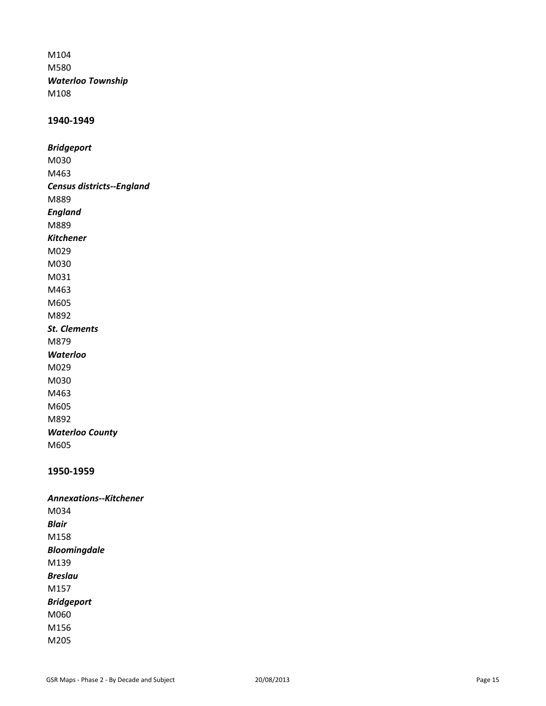M104 M580 *Waterloo Township* M108

#### **1940-1949**

*Bridgeport* M030 M463 *Census districts--England* M889 *England* M889 *Kitchener* M029 M030 M031 M463 M605 M892 *St. Clements* M879 *Waterloo* M029 M030 M463 M605 M892 *Waterloo County* M605

# **1950-1959**

*Annexations--Kitchener* M034 *Blair* M158 *Bloomingdale* M139 *Breslau* M157 *Bridgeport* M060 M156 M205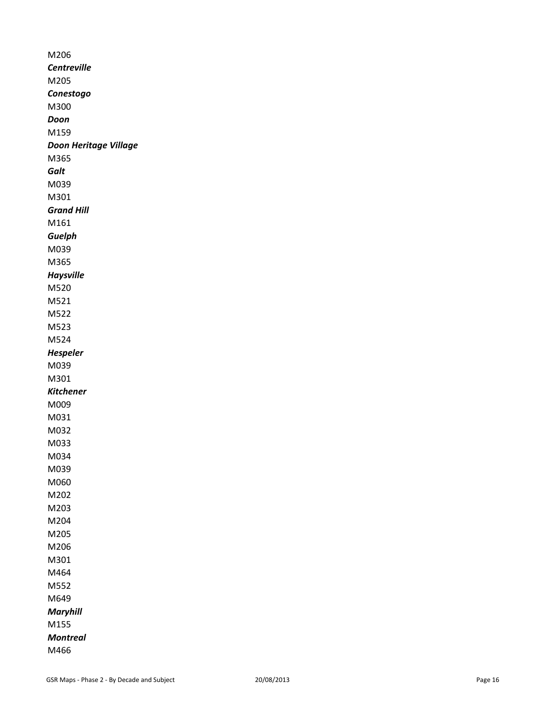M206 *Centreville* M205 *Conestogo* M300 *Doon* M159 *Doon Heritage Village* M365 *Galt* M039 M301 *Grand Hill*  M161 *Guelph* M039 M365 *Haysville* M520 M521 M522 M523 M524 *Hespeler* M039 M301 *Kitchener* M009 M031 M032 M033 M034 M039 M060 M202 M203 M204 M205 M206 M301 M464 M552 M649 *Maryhill* M155 *Montreal*  M466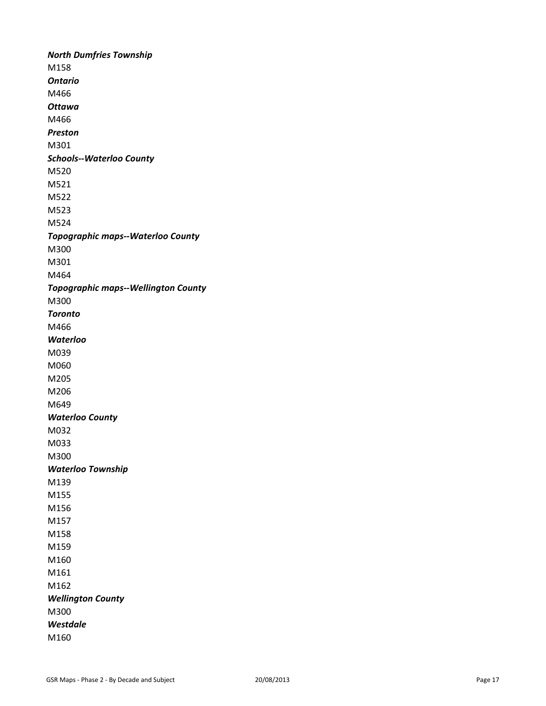*North Dumfries Township* M158 *Ontario*  M466 *Ottawa* M466 *Preston* M301 *Schools--Waterloo County* M520 M521 M522 M523 M524 *Topographic maps--Waterloo County* M300 M301 M464 *Topographic maps--Wellington County* M300 *Toronto* M466 *Waterloo* M039 M060 M205 M206 M649 *Waterloo County* M032 M033 M300 *Waterloo Township* M139 M155 M156 M157 M158 M159 M160 M161 M162 *Wellington County* M300 *Westdale* M160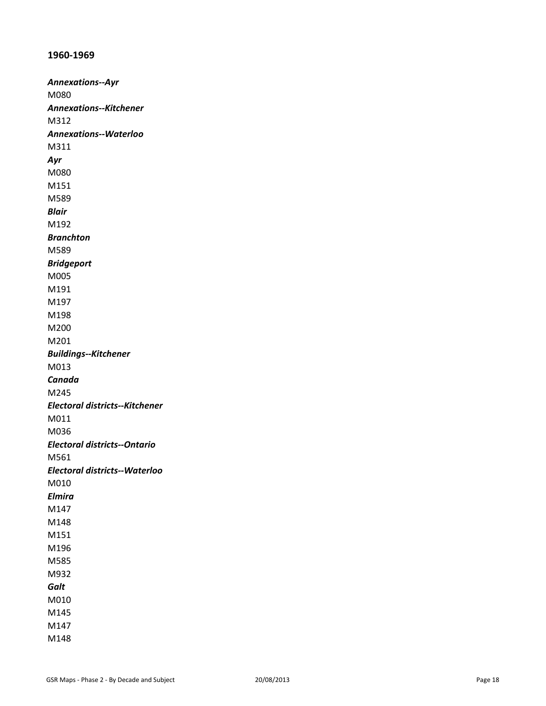# **1960-1969**

*Annexations--Ayr* M080 *Annexations--Kitchener* M312 *Annexations--Waterloo* M311 *Ayr* M080 M151 M589 *Blair* M192 *Branchton* M589 *Bridgeport* M005 M191 M197 M198 M200 M201 *Buildings--Kitchener* M013 *Canada* M245 *Electoral districts--Kitchener* M011 M036 *Electoral districts--Ontario* M561 *Electoral districts--Waterloo* M010 *Elmira* M147 M148 M151 M196 M585 M932 *Galt* M010 M145 M147 M148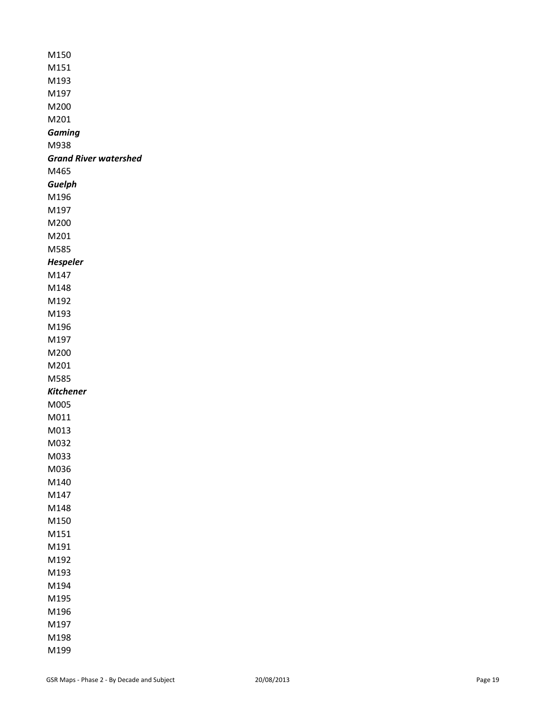| M150                  |
|-----------------------|
| M151                  |
| M193                  |
| M197                  |
| M200                  |
| M201                  |
| Gaming                |
| M938                  |
| Grand River watershed |
| M465                  |
| Guelph                |
| M196                  |
| M197                  |
| M200                  |
| M201                  |
| M585                  |
| <b>Hespeler</b>       |
| M147                  |
| M148                  |
| M192                  |
| M193                  |
| M196                  |
| M197                  |
| M200                  |
| M201                  |
| M585                  |
| Kitchener             |
| M005                  |
| M011                  |
| M013                  |
| M032                  |
| M033                  |
| M036                  |
| M140                  |
| M147                  |
| M148                  |
| M150                  |
| M151                  |
| M191                  |
| M192                  |
| M193                  |
| M194                  |
| M195                  |
| M196                  |
| M197                  |
| M198                  |
| M199                  |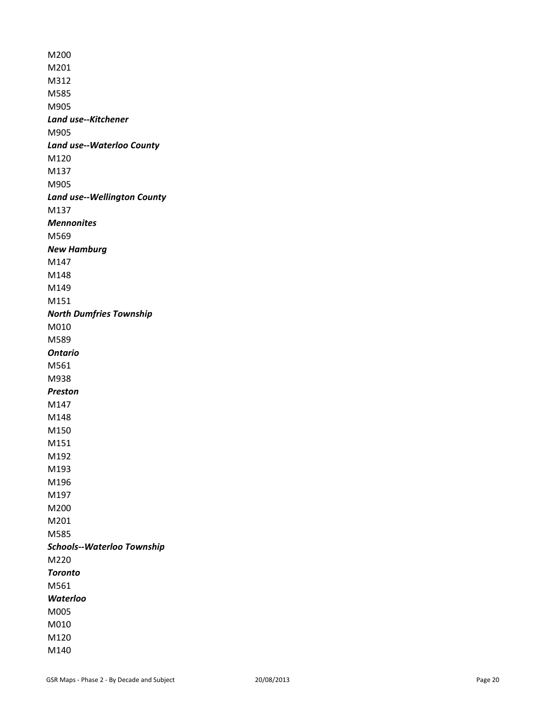M200 M201 M312 M585 M905 *Land use--Kitchener* M905 *Land use--Waterloo County* M120 M137 M905 *Land use--Wellington County* M137 *Mennonites* M569 *New Hamburg* M147 M148 M149 M151 *North Dumfries Township* M010 M589 *Ontario*  M561 M938 *Preston* M147 M148 M150 M151 M192 M193 M196 M197 M200 M201 M585 *Schools--Waterloo Township* M220 *Toronto* M561 *Waterloo* M005 M010 M120 M140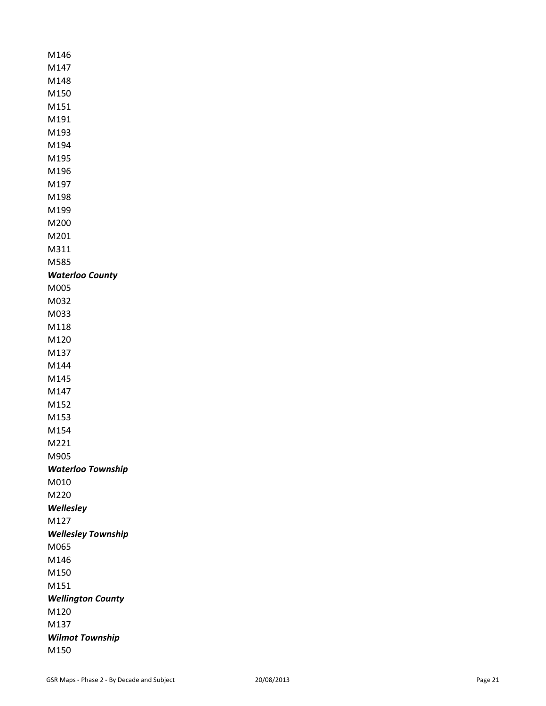| M146                     |
|--------------------------|
| M147                     |
| M148                     |
| M150                     |
| M151                     |
| M191                     |
| M193                     |
| M194                     |
| M195                     |
| M196                     |
| M197                     |
| M198                     |
| M199                     |
| M200                     |
| M201                     |
| M311                     |
| M585                     |
| <b>Waterloo County</b>   |
| M005                     |
| M032                     |
| M033                     |
| M118                     |
| M120                     |
| M137                     |
| M144                     |
| M145                     |
| M147                     |
| M152                     |
| M153                     |
| M154                     |
| M221                     |
| M905                     |
| Waterloo Township        |
| M010                     |
| M220                     |
| Wellesley                |
| M127                     |
| Wellesley Township       |
| M065                     |
| M146                     |
| M150                     |
| M151                     |
| <b>Wellington County</b> |
| M120                     |
| M137                     |
| <b>Wilmot Township</b>   |
| M150                     |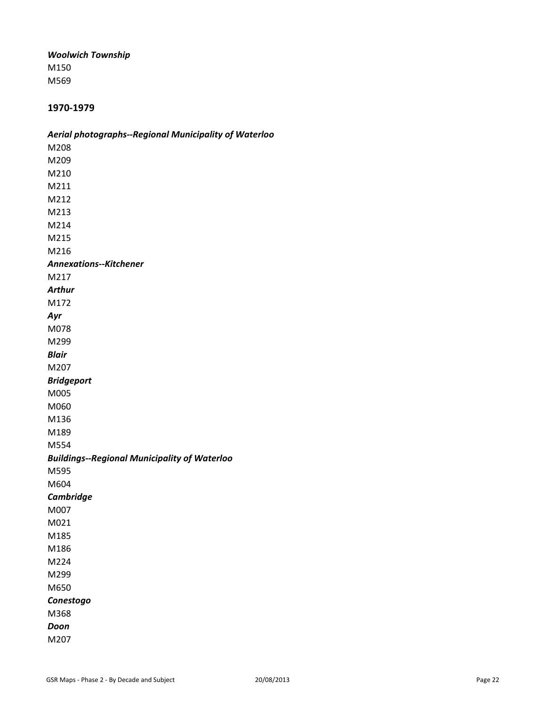#### *Woolwich Township*

M150 M569

# **1970-1979**

# *Aerial photographs--Regional Municipality of Waterloo*

M208 M209 M210 M211 M212 M213 M214 M215 M216 *Annexations--Kitchener* M217 *Arthur* M172 *Ayr* M078 M299 *Blair* M207 *Bridgeport* M005 M060 M136 M189 M554 *Buildings--Regional Municipality of Waterloo* M595 M604 *Cambridge* M007 M021 M185 M186 M224 M299 M650 *Conestogo* M368 *Doon* M207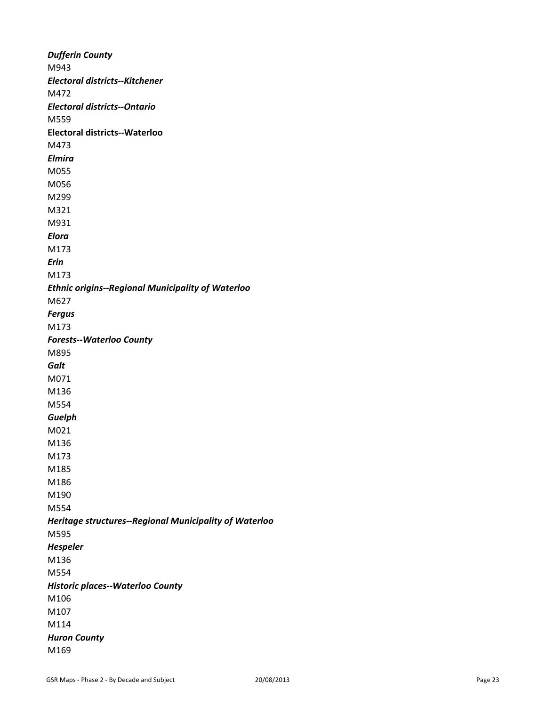*Dufferin County* M943 *Electoral districts--Kitchener* M472 *Electoral districts--Ontario* M559 **Electoral districts--Waterloo** M473 *Elmira* M055 M056 M299 M321 M931 *Elora* M173 *Erin* M173 *Ethnic origins--Regional Municipality of Waterloo* M627 *Fergus* M173 *Forests--Waterloo County* M895 *Galt* M071 M136 M554 *Guelph* M021 M136 M173 M185 M186 M190 M554 *Heritage structures--Regional Municipality of Waterloo* M595 *Hespeler* M136 M554 *Historic places--Waterloo County* M106 M107 M114 *Huron County* M169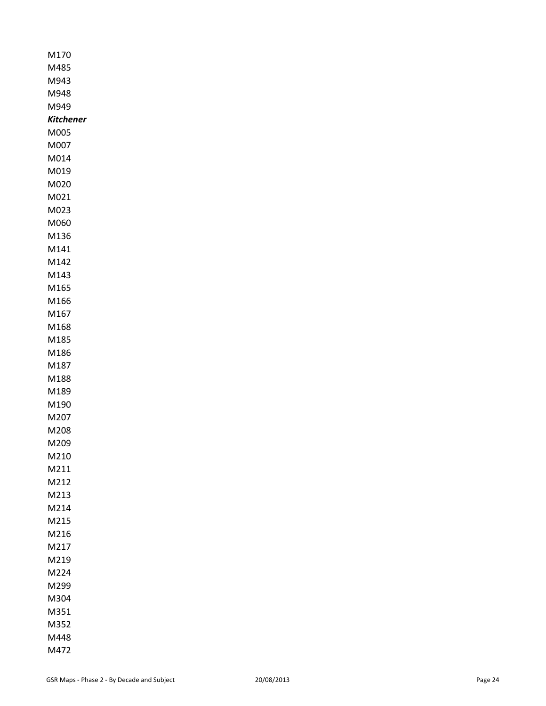| M170         |
|--------------|
| M485         |
| M943         |
| M948         |
| M949         |
| Kitchener    |
| M005         |
| M007         |
| M014         |
| M019         |
| M020         |
| M021         |
| M023         |
| M060         |
| M136         |
| M141         |
| M142         |
| M143         |
| M165         |
| M166         |
| M167         |
| M168         |
| M185         |
| M186         |
| M187         |
| M188         |
| M189         |
| M190         |
| M207         |
| M208         |
| M209         |
| M210         |
| M211         |
| M212         |
| M213         |
| M214         |
| M215         |
| M216<br>M217 |
| M219         |
| M224         |
| M299         |
| M304         |
| M351         |
| M352         |
| M448         |
| M472         |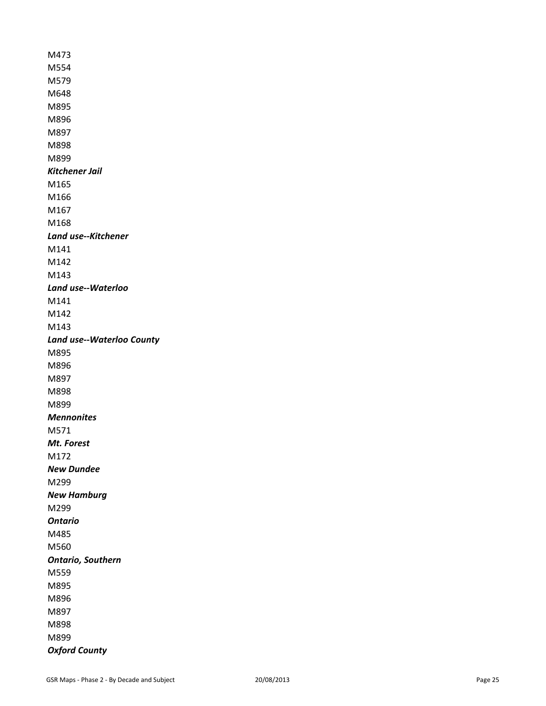M473 M554 M579 M648 M895 M896 M897 M898 M899 *Kitchener Jail* M165 M166 M167 M168 *Land use--Kitchener* M141 M142 M143 *Land use--Waterloo* M141 M142 M143 *Land use--Waterloo County* M895 M896 M897 M898 M899 *Mennonites* M571 *Mt. Forest* M172 *New Dundee* M299 *New Hamburg* M299 *Ontario* M485 M560 *Ontario, Southern* M559 M895 M896 M897 M898 M899 *Oxford County*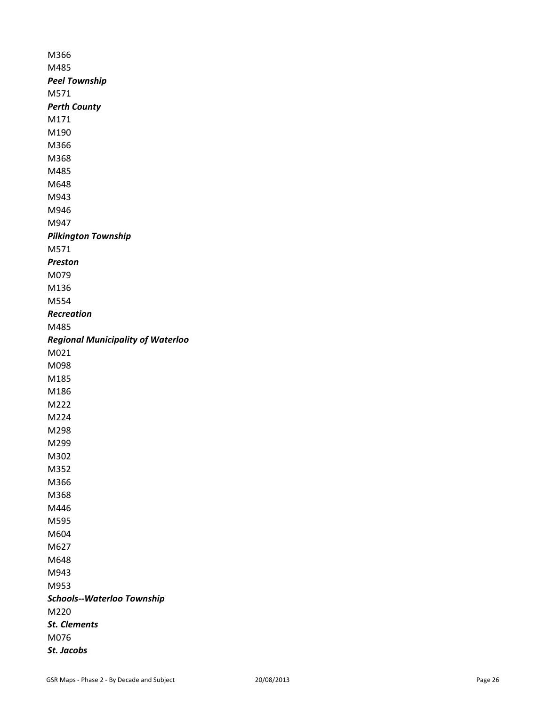M366 M485 *Peel Township* M571 *Perth County* M171 M190 M366 M368 M485 M648 M943 M946 M947 *Pilkington Township* M571 *Preston* M079 M136 M554 *Recreation* M485 *Regional Municipality of Waterloo* M021 M098 M185 M186 M222 M224 M298 M299 M302 M352 M366 M368 M446 M595 M604 M627 M648 M943 M953 *Schools--Waterloo Township* M220 *St. Clements* M076 *St. Jacobs*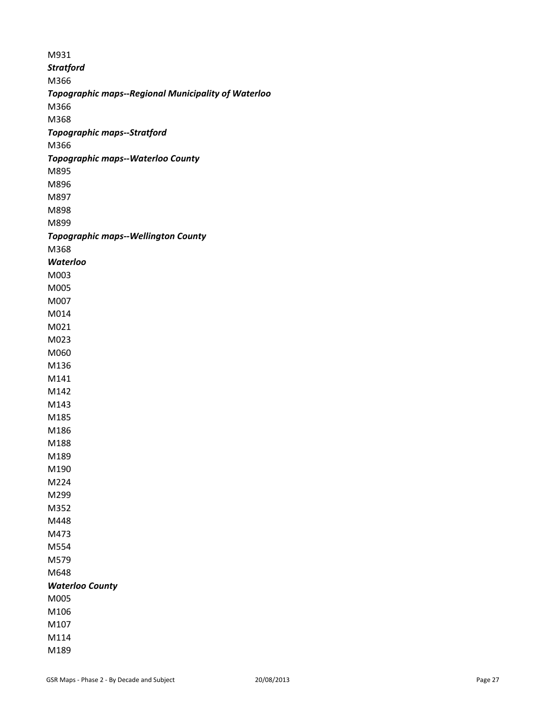| M931             |                                                     |
|------------------|-----------------------------------------------------|
| <b>Stratford</b> |                                                     |
| M366             |                                                     |
|                  | Topographic maps--Regional Municipality of Waterloo |
| M366             |                                                     |
| M368             |                                                     |
|                  | <b>Topographic maps--Stratford</b>                  |
| M366             |                                                     |
|                  | <b>Topographic maps--Waterloo County</b>            |
| M895             |                                                     |
| M896             |                                                     |
| M897             |                                                     |
| M898             |                                                     |
| M899             |                                                     |
|                  | <b>Topographic maps--Wellington County</b>          |
| M368             |                                                     |
| <b>Waterloo</b>  |                                                     |
| M003             |                                                     |
| M005             |                                                     |
| M007             |                                                     |
| M014             |                                                     |
| M021             |                                                     |
| M023             |                                                     |
| M060             |                                                     |
| M136             |                                                     |
| M141             |                                                     |
| M142             |                                                     |
| M143             |                                                     |
| M185             |                                                     |
| M186             |                                                     |
| M188             |                                                     |
| M189             |                                                     |
| M190             |                                                     |
| M224             |                                                     |
| M299             |                                                     |
| M352             |                                                     |
| M448             |                                                     |
| M473             |                                                     |
| M554             |                                                     |
| M579             |                                                     |
| M648             |                                                     |
|                  | <b>Waterloo County</b>                              |
| M005             |                                                     |
| M106             |                                                     |
| M107             |                                                     |
| M114             |                                                     |
| M189             |                                                     |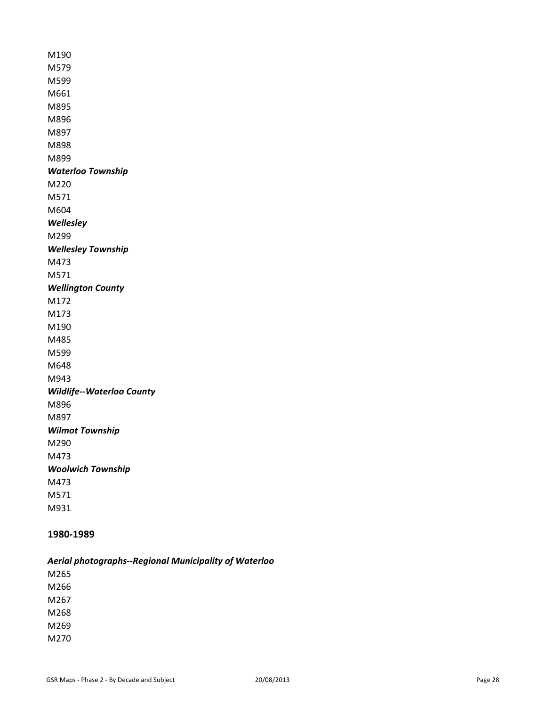M190 M579 M599 M661 M895 M896 M897 M898 M899 *Waterloo Township* M220 M571 M604 *Wellesley* M299 *Wellesley Township* M473 M571 *Wellington County* M172 M173 M190 M485 M599 M648 M943 *Wildlife--Waterloo County* M896 M897 *Wilmot Township* M290 M473 *Woolwich Township* M473 M571 M931

# **1980-1989**

*Aerial photographs--Regional Municipality of Waterloo*

M265 M266 M267 M268 M269 M270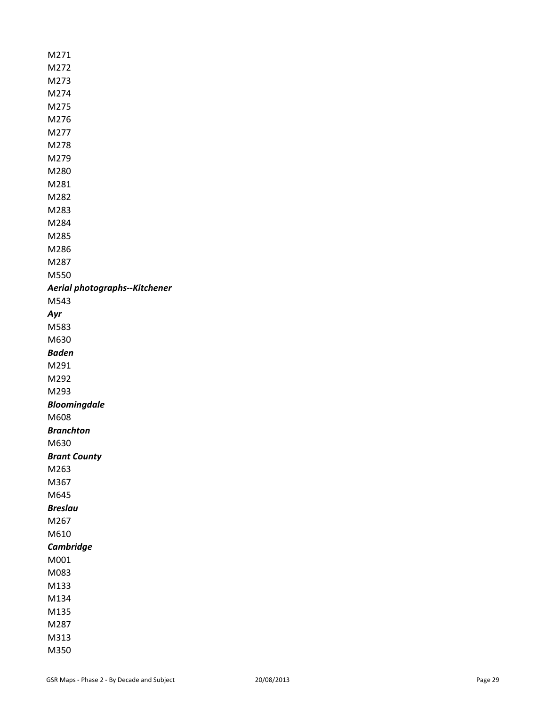M271 M272 M273 M274 M275 M276 M277 M278 M279 M280 M281 M282 M283 M284 M285 M286 M287 M550 *Aerial photographs--Kitchener* M543 *Ayr* M583 M630 *Baden* M291 M292 M293 *Bloomingdale* M608 *Branchton* M630 *Brant County* M263 M367 M645 *Breslau* M267 M610 *Cambridge* M001 M083 M133 M134 M135 M287 M313 M350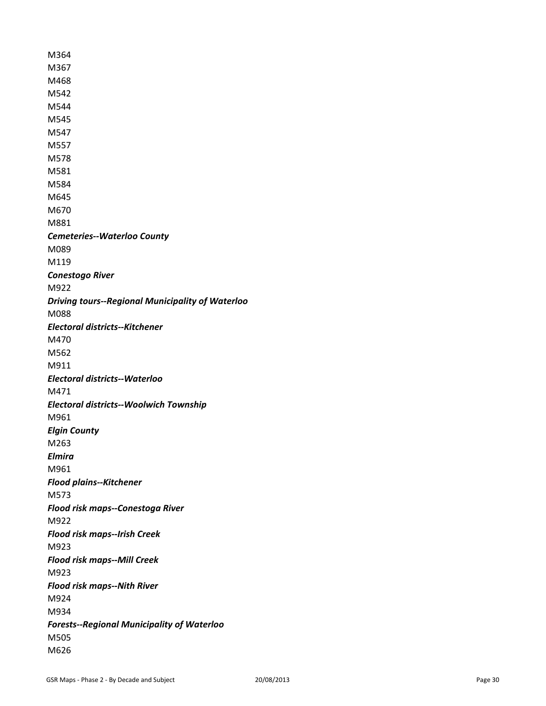M364 M367 M468 M542 M544 M545 M547 M557 M578 M581 M584 M645 M670 M881 *Cemeteries--Waterloo County* M089 M119 *Conestogo River* M922 *Driving tours--Regional Municipality of Waterloo* M088 *Electoral districts--Kitchener* M470 M562 M911 *Electoral districts--Waterloo* M471 *Electoral districts--Woolwich Township* M961 *Elgin County* M263 *Elmira* M961 *Flood plains--Kitchener* M573 *Flood risk maps--Conestoga River* M922 *Flood risk maps--Irish Creek* M923 *Flood risk maps--Mill Creek* M923 *Flood risk maps--Nith River* M924 M934 *Forests--Regional Municipality of Waterloo* M505 M626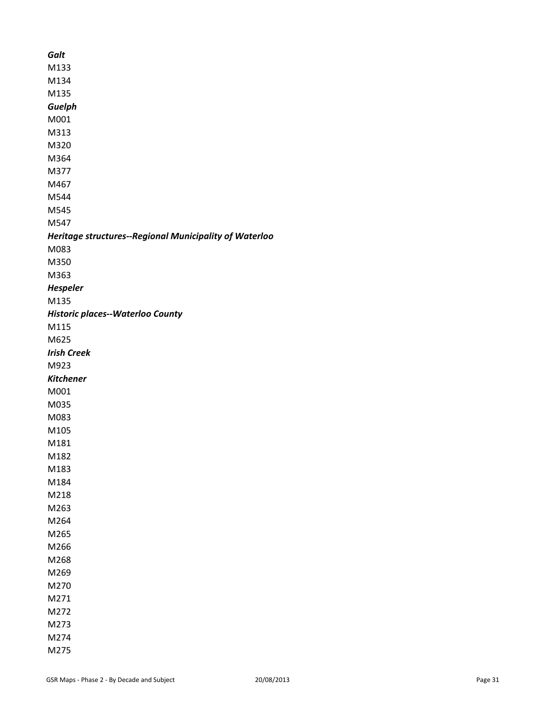| Galt |                                                        |
|------|--------------------------------------------------------|
| M133 |                                                        |
| M134 |                                                        |
| M135 |                                                        |
|      | Guelph                                                 |
| M001 |                                                        |
| M313 |                                                        |
| M320 |                                                        |
| M364 |                                                        |
| M377 |                                                        |
| M467 |                                                        |
| M544 |                                                        |
| M545 |                                                        |
| M547 |                                                        |
|      | Heritage structures--Regional Municipality of Waterloo |
| M083 |                                                        |
| M350 |                                                        |
| M363 |                                                        |
|      | <b>Hespeler</b>                                        |
| M135 |                                                        |
|      | <b>Historic places--Waterloo County</b>                |
| M115 |                                                        |
| M625 |                                                        |
|      | <b>Irish Creek</b>                                     |
| M923 |                                                        |
|      | <b>Kitchener</b>                                       |
| M001 |                                                        |
| M035 |                                                        |
| M083 |                                                        |
| M105 |                                                        |
| M181 |                                                        |
| M182 |                                                        |
| M183 |                                                        |
| M184 |                                                        |
| M218 |                                                        |
| M263 |                                                        |
| M264 |                                                        |
| M265 |                                                        |
| M266 |                                                        |
| M268 |                                                        |
| M269 |                                                        |
| M270 |                                                        |
| M271 |                                                        |
| M272 |                                                        |
| M273 |                                                        |
| M274 |                                                        |
| M275 |                                                        |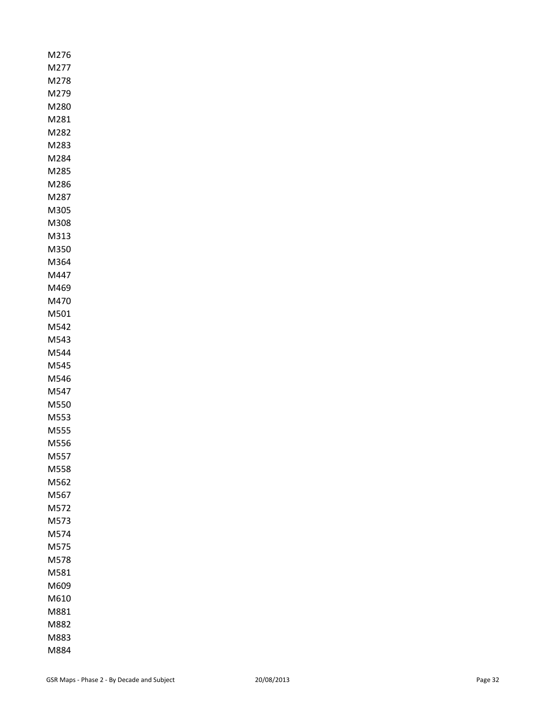| M276         |
|--------------|
| M277         |
| M278         |
| M279         |
| M280         |
| M281         |
| M282         |
| M283         |
| M284<br>M285 |
| M286         |
| M287         |
| M305         |
| M308         |
| M313         |
| M350         |
| M364         |
| M447         |
| M469         |
| M470         |
| M501         |
| M542         |
| M543         |
| M544         |
| M545         |
| M546         |
| M547         |
| M550         |
| M553         |
| M555         |
| M556         |
| M557         |
| M558<br>M562 |
|              |
| M567<br>M572 |
| M573         |
| M574         |
| M575         |
| M578         |
| M581         |
| M609         |
| M610         |
| M881         |
| M882         |
| M883         |
| M884         |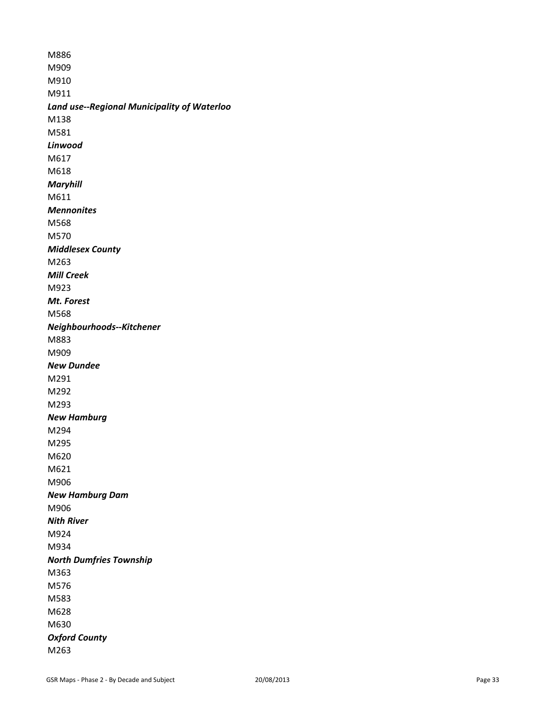M886 M909 M910 M911 *Land use--Regional Municipality of Waterloo* M138 M581 *Linwood* M617 M618 *Maryhill* M611 *Mennonites* M568 M570 *Middlesex County* M263 *Mill Creek* M923 *Mt. Forest*  M568 *Neighbourhoods--Kitchener* M883 M909 *New Dundee* M291 M292 M293 *New Hamburg*  M294 M295 M620 M621 M906 *New Hamburg Dam* M906 *Nith River* M924 M934 *North Dumfries Township* M363 M576 M583 M628 M630 *Oxford County* M263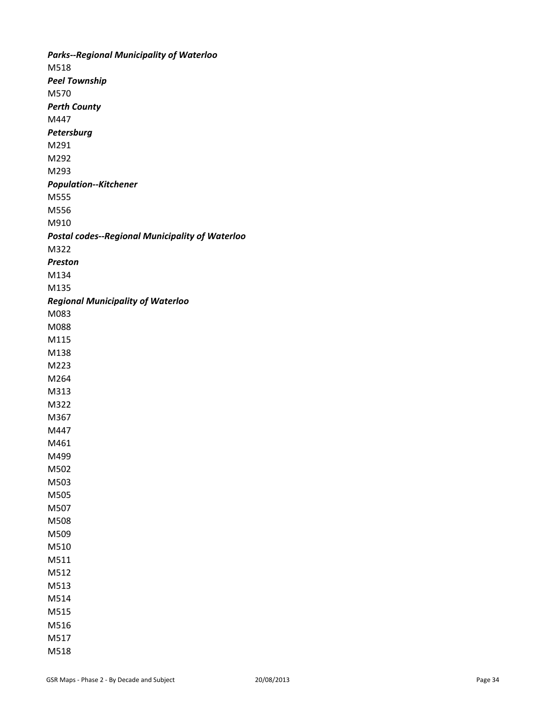*Parks--Regional Municipality of Waterloo* M518 *Peel Township* M570 *Perth County* M447 *Petersburg* M291 M292 M293 *Population--Kitchener* M555 M556 M910 *Postal codes--Regional Municipality of Waterloo* M322 *Preston* M134 M135 *Regional Municipality of Waterloo* M083 M088 M115 M138 M223 M264 M313 M322 M367 M447 M461 M499 M502 M503 M505 M507 M508 M509 M510 M511 M512 M513 M514 M515 M516 M517 M518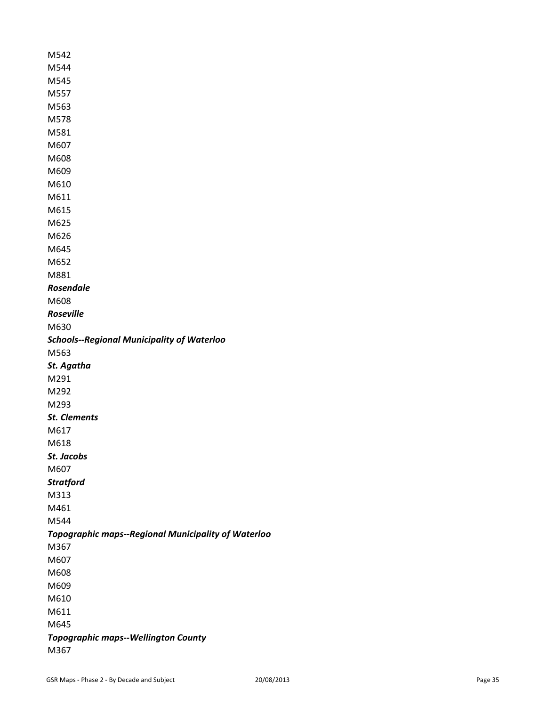| M542                                                |
|-----------------------------------------------------|
| M544                                                |
| M545                                                |
| M557                                                |
| M563                                                |
| M578                                                |
| M581                                                |
| M607                                                |
| M608                                                |
| M609                                                |
| M610                                                |
| M611                                                |
| M615                                                |
| M625                                                |
| M626                                                |
| M645                                                |
| M652                                                |
| M881                                                |
| <b>Rosendale</b>                                    |
| M608                                                |
| <b>Roseville</b>                                    |
| M630                                                |
| <b>Schools--Regional Municipality of Waterloo</b>   |
| M563                                                |
| St. Agatha                                          |
| M291                                                |
| M292                                                |
| M293                                                |
| <b>St. Clements</b>                                 |
| M617                                                |
| M618                                                |
| St. Jacobs                                          |
| M607                                                |
| <b>Stratford</b>                                    |
| M313                                                |
| M461                                                |
| M544                                                |
| Topographic maps--Regional Municipality of Waterloo |
| M367                                                |
| M607                                                |
| M608                                                |
| M609                                                |
| M610                                                |
| M611                                                |
| M645                                                |
| <b>Topographic maps--Wellington County</b>          |
| M367                                                |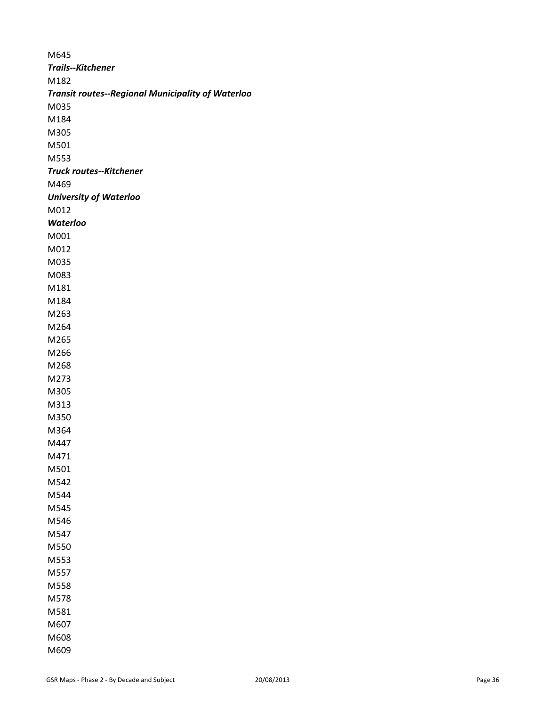M645 *Trails--Kitchener* M182 *Transit routes--Regional Municipality of Waterloo* M035 M184 M305 M501 M553 *Truck routes--Kitchener* M469 *University of Waterloo* M012 *Waterloo* M001 M012 M035 M083 M181 M184 M263 M264 M265 M266 M268 M273 M305 M313 M350 M364 M447 M471 M501 M542 M544 M545 M546 M547 M550 M553 M557 M558 M578 M581 M607 M608 M609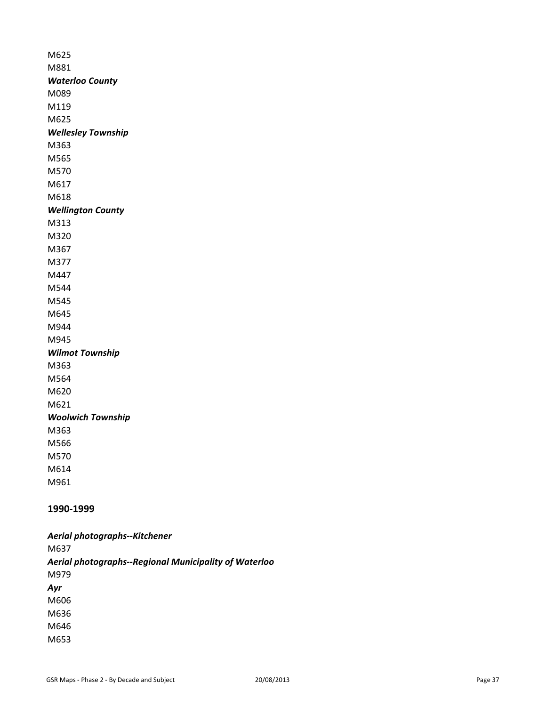M625 M881 *Waterloo County* M089 M119 M625 *Wellesley Township* M363 M565 M570 M617 M618 *Wellington County* M313 M320 M367 M377 M447 M544 M545 M645 M944 M945 *Wilmot Township* M363 M564 M620 M621 *Woolwich Township* M363 M566 M570 M614 M961

# **1990-1999**

*Aerial photographs--Kitchener* M637 *Aerial photographs--Regional Municipality of Waterloo* M979 *Ayr* M606 M636 M646 M653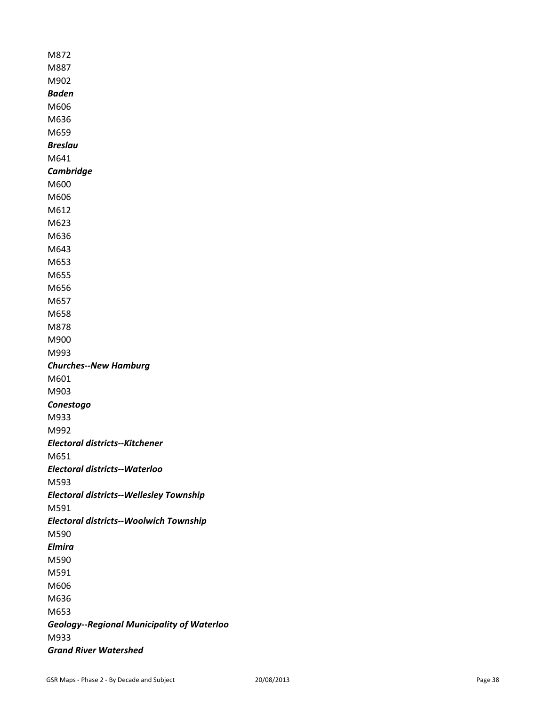| M872                                              |
|---------------------------------------------------|
| M887                                              |
| M902                                              |
| <b>Baden</b>                                      |
| M606                                              |
| M636                                              |
| M659                                              |
| <b>Breslau</b>                                    |
| M641                                              |
| <b>Cambridge</b>                                  |
| M600                                              |
| M606                                              |
| M612                                              |
| M623                                              |
| M636                                              |
| M643                                              |
| M653                                              |
| M655                                              |
| M656                                              |
| M657                                              |
| M658                                              |
| M878                                              |
| M900                                              |
| M993                                              |
| <b>Churches--New Hamburg</b>                      |
| M601                                              |
| M903                                              |
| Conestogo                                         |
| M933                                              |
| M992                                              |
| <b>Electoral districts--Kitchener</b>             |
| M651                                              |
| <b>Electoral districts--Waterloo</b>              |
| M593                                              |
| <b>Electoral districts--Wellesley Township</b>    |
| M591                                              |
| <b>Electoral districts--Woolwich Township</b>     |
| M590                                              |
| <b>Elmira</b>                                     |
| M590                                              |
| M591                                              |
| M606                                              |
| M636                                              |
| M653                                              |
| <b>Geology--Regional Municipality of Waterloo</b> |
| M933                                              |
| <b>Grand River Watershed</b>                      |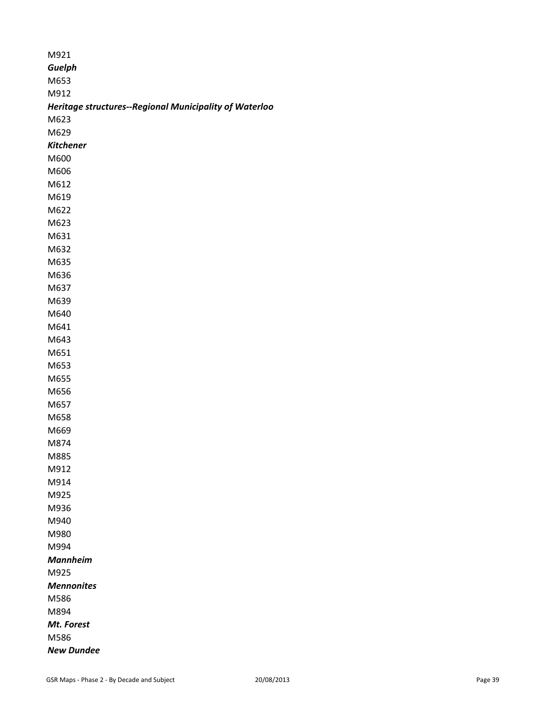| M921                                                   |
|--------------------------------------------------------|
| Guelph                                                 |
| M653                                                   |
| M912                                                   |
| Heritage structures--Regional Municipality of Waterloo |
| M623                                                   |
| M629                                                   |
| <b>Kitchener</b>                                       |
| M600                                                   |
| M606                                                   |
| M612                                                   |
| M619                                                   |
| M622                                                   |
| M623                                                   |
| M631                                                   |
| M632                                                   |
| M635                                                   |
| M636                                                   |
| M637                                                   |
| M639                                                   |
| M640                                                   |
| M641                                                   |
| M643                                                   |
| M651                                                   |
| M653                                                   |
| M655                                                   |
| M656                                                   |
| M657                                                   |
| M658                                                   |
| M669                                                   |
| M874                                                   |
| M885                                                   |
| M912                                                   |
| M914                                                   |
| M925                                                   |
| M936                                                   |
| M940                                                   |
| M980                                                   |
| M994                                                   |
| <b>Mannheim</b>                                        |
| M925                                                   |
| <b>Mennonites</b>                                      |
| M586                                                   |
| M894                                                   |
| Mt. Forest                                             |
| M586                                                   |
| <b>New Dundee</b>                                      |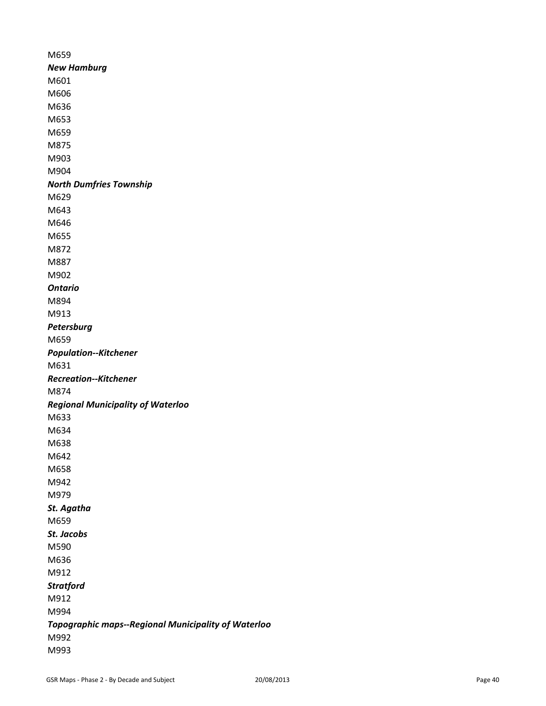M659 *New Hamburg* M601 M606 M636 M653 M659 M875 M903 M904 *North Dumfries Township* M629 M643 M646 M655 M872 M887 M902 *Ontario* M894 M913 *Petersburg* M659 *Population--Kitchener* M631 *Recreation--Kitchener* M874 *Regional Municipality of Waterloo* M633 M634 M638 M642 M658 M942 M979 *St. Agatha* M659 *St. Jacobs* M590 M636 M912 *Stratford* M912 M994 *Topographic maps--Regional Municipality of Waterloo* M992 M993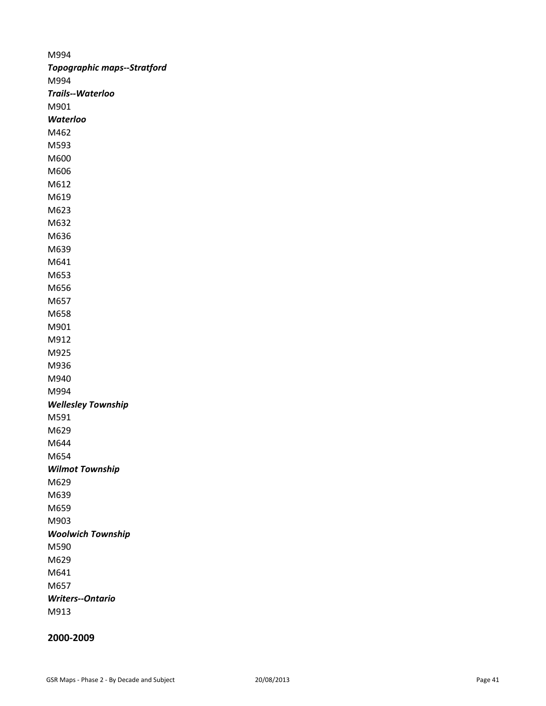M994 *Topographic maps--Stratford* M994 *Trails--Waterloo* M901 *Waterloo* M462 M593 M600 M606 M612 M619 M623 M632 M636 M639 M641 M653 M656 M657 M658 M901 M912 M925 M936 M940 M994 *Wellesley Township* M591 M629 M644 M654 *Wilmot Township* M629 M639 M659 M903 *Woolwich Township* M590 M629 M641 M657 *Writers--Ontario* M913

**2000-2009**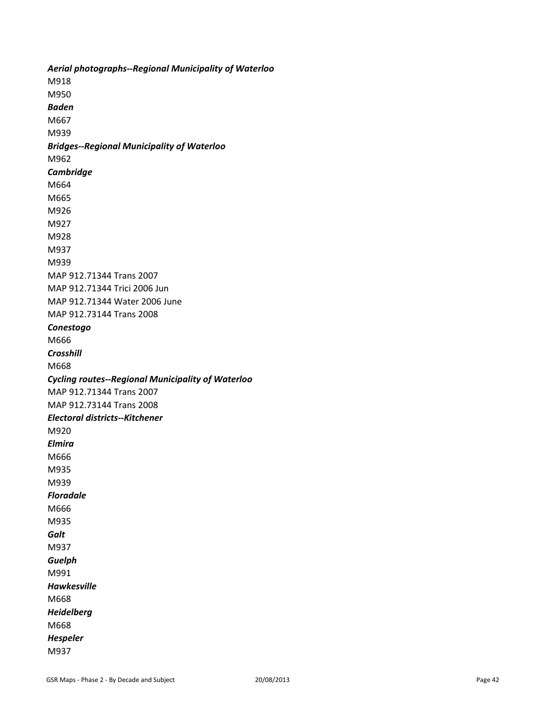*Aerial photographs--Regional Municipality of Waterloo* M918 M950 *Baden*  M667 M939 *Bridges--Regional Municipality of Waterloo* M962 *Cambridge* M664 M665 M926 M927 M928 M937 M939 MAP 912.71344 Trans 2007 MAP 912.71344 Trici 2006 Jun MAP 912.71344 Water 2006 June MAP 912.73144 Trans 2008 *Conestogo* M666 *Crosshill* M668 *Cycling routes--Regional Municipality of Waterloo* MAP 912.71344 Trans 2007 MAP 912.73144 Trans 2008 *Electoral districts--Kitchener* M920 *Elmira* M666 M935 M939 *Floradale* M666 M935 *Galt* M937 *Guelph* M991 *Hawkesville* M668 *Heidelberg* M668 *Hespeler* M937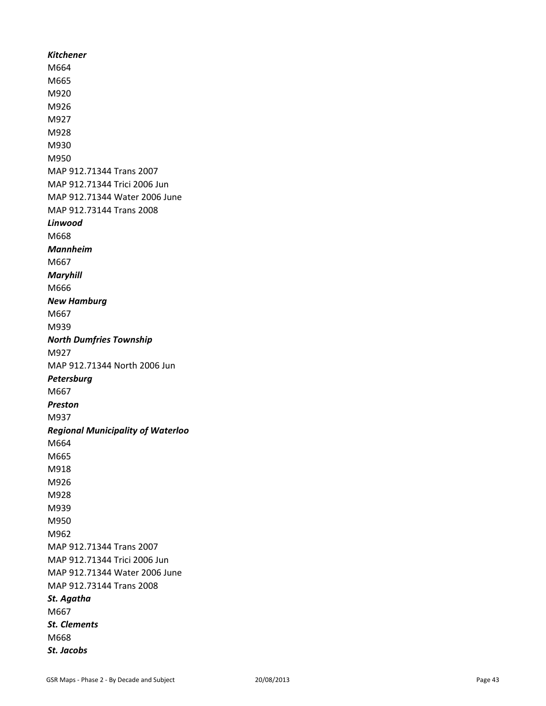*Kitchener* M664 M665 M920 M926 M927 M928 M930 M950 MAP 912.71344 Trans 2007 MAP 912.71344 Trici 2006 Jun MAP 912.71344 Water 2006 June MAP 912.73144 Trans 2008 *Linwood* M668 *Mannheim* M667 *Maryhill* M666 *New Hamburg* M667 M939 *North Dumfries Township* M927 MAP 912.71344 North 2006 Jun *Petersburg* M667 *Preston* M937 *Regional Municipality of Waterloo* M664 M665 M918 M926 M928 M939 M950 M962 MAP 912.71344 Trans 2007 MAP 912.71344 Trici 2006 Jun MAP 912.71344 Water 2006 June MAP 912.73144 Trans 2008 *St. Agatha* M667 *St. Clements* M668 *St. Jacobs*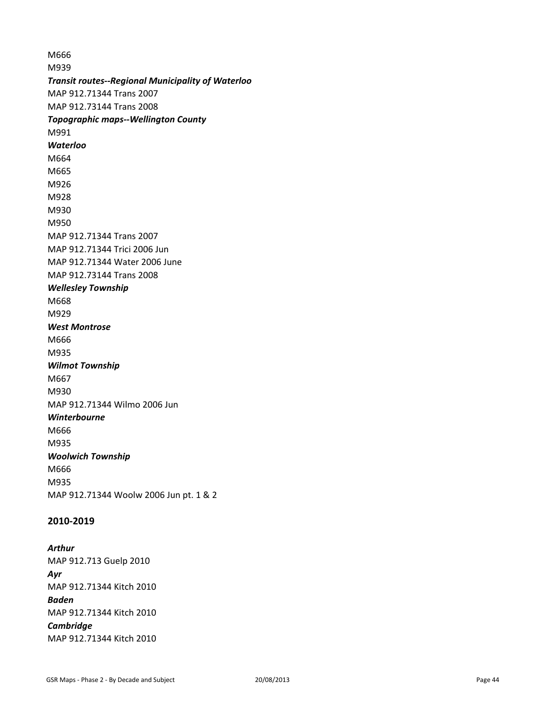M666 M939 *Transit routes--Regional Municipality of Waterloo* MAP 912.71344 Trans 2007 MAP 912.73144 Trans 2008 *Topographic maps--Wellington County* M991 *Waterloo* M664 M665 M926 M928 M930 M950 MAP 912.71344 Trans 2007 MAP 912.71344 Trici 2006 Jun MAP 912.71344 Water 2006 June MAP 912.73144 Trans 2008 *Wellesley Township* M668 M929 *West Montrose* M666 M935 *Wilmot Township* M667 M930 MAP 912.71344 Wilmo 2006 Jun *Winterbourne* M666 M935 *Woolwich Township* M666 M935 MAP 912.71344 Woolw 2006 Jun pt. 1 & 2

# **2010-2019**

*Arthur* MAP 912.713 Guelp 2010 *Ayr* MAP 912.71344 Kitch 2010 *Baden* MAP 912.71344 Kitch 2010 *Cambridge* MAP 912.71344 Kitch 2010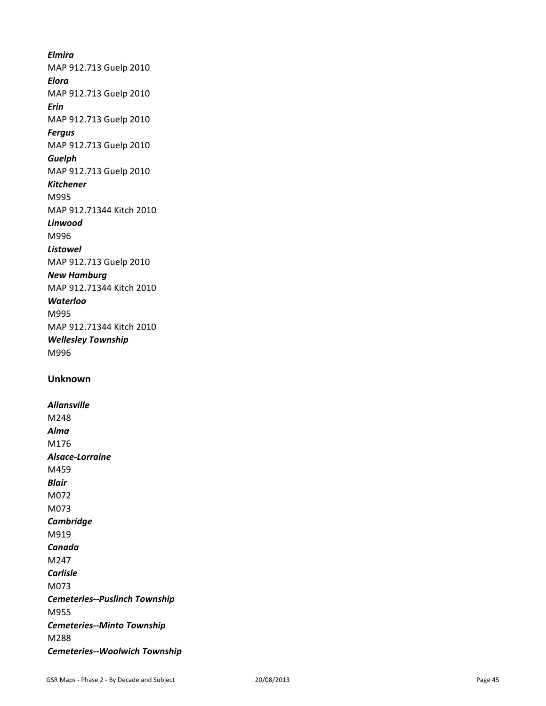# *Elmira*

MAP 912.713 Guelp 2010

*Elora*

MAP 912.713 Guelp 2010

*Erin*

MAP 912.713 Guelp 2010

*Fergus*

# MAP 912.713 Guelp 2010

*Guelph* MAP 912.713 Guelp 2010

# *Kitchener*

M995 MAP 912.71344 Kitch 2010

*Linwood*

M996

*Listowel* MAP 912.713 Guelp 2010

# *New Hamburg*

MAP 912.71344 Kitch 2010

# *Waterloo*

M995 MAP 912.71344 Kitch 2010 *Wellesley Township* M996

# **Unknown**

*Allansville* M248 *Alma* M176 *Alsace-Lorraine* M459 *Blair* M072 M073 *Cambridge* M919 *Canada* M247 *Carlisle* M073 *Cemeteries--Puslinch Township* M955 *Cemeteries--Minto Township* M288 *Cemeteries--Woolwich Township*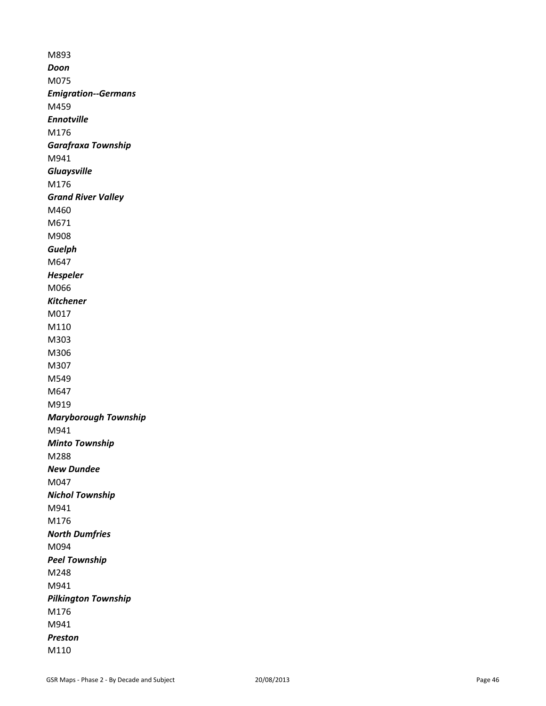M893 *Doon* M075 *Emigration--Germans* M459 *Ennotville* M176 *Garafraxa Township* M941 *Gluaysville* M176 *Grand River Valley* M460 M671 M908 *Guelph* M647 *Hespeler* M066 *Kitchener* M017 M110 M303 M306 M307 M549 M647 M919 *Maryborough Township* M941 *Minto Township* M288 *New Dundee* M047 *Nichol Township* M941 M176 *North Dumfries*  M094 *Peel Township* M248 M941 *Pilkington Township* M176 M941 *Preston* M110